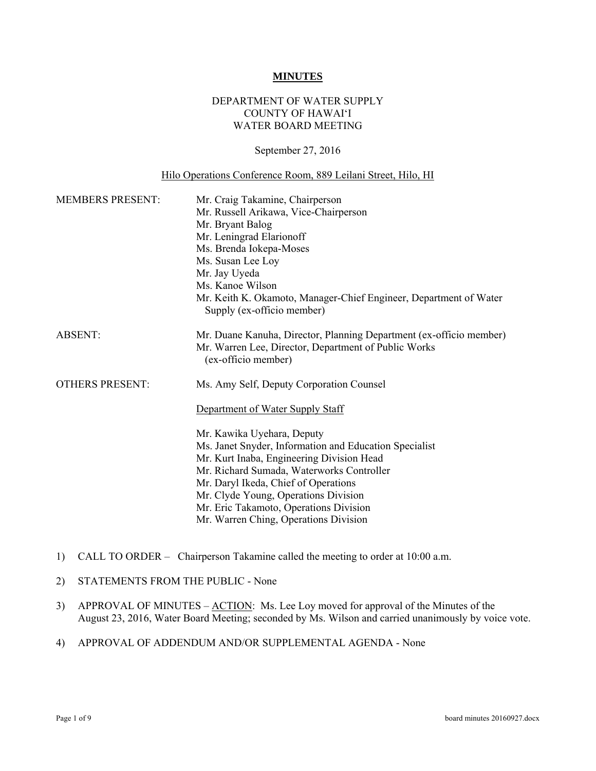#### **MINUTES**

### DEPARTMENT OF WATER SUPPLY COUNTY OF HAWAI'I WATER BOARD MEETING

#### September 27, 2016

#### Hilo Operations Conference Room, 889 Leilani Street, Hilo, HI

| <b>MEMBERS PRESENT:</b> | Mr. Craig Takamine, Chairperson<br>Mr. Russell Arikawa, Vice-Chairperson<br>Mr. Bryant Balog<br>Mr. Leningrad Elarionoff<br>Ms. Brenda Iokepa-Moses<br>Ms. Susan Lee Loy<br>Mr. Jay Uyeda<br>Ms. Kanoe Wilson<br>Mr. Keith K. Okamoto, Manager-Chief Engineer, Department of Water<br>Supply (ex-officio member)                                                                                                                  |
|-------------------------|-----------------------------------------------------------------------------------------------------------------------------------------------------------------------------------------------------------------------------------------------------------------------------------------------------------------------------------------------------------------------------------------------------------------------------------|
| <b>ABSENT:</b>          | Mr. Duane Kanuha, Director, Planning Department (ex-officio member)<br>Mr. Warren Lee, Director, Department of Public Works<br>(ex-officio member)                                                                                                                                                                                                                                                                                |
| <b>OTHERS PRESENT:</b>  | Ms. Amy Self, Deputy Corporation Counsel<br>Department of Water Supply Staff<br>Mr. Kawika Uyehara, Deputy<br>Ms. Janet Snyder, Information and Education Specialist<br>Mr. Kurt Inaba, Engineering Division Head<br>Mr. Richard Sumada, Waterworks Controller<br>Mr. Daryl Ikeda, Chief of Operations<br>Mr. Clyde Young, Operations Division<br>Mr. Eric Takamoto, Operations Division<br>Mr. Warren Ching, Operations Division |

- 1) CALL TO ORDER Chairperson Takamine called the meeting to order at 10:00 a.m.
- 2) STATEMENTS FROM THE PUBLIC None
- 3) APPROVAL OF MINUTES <u>ACTION</u>: Ms. Lee Loy moved for approval of the Minutes of the August 23, 2016, Water Board Meeting; seconded by Ms. Wilson and carried unanimously by voice vote.
- 4) APPROVAL OF ADDENDUM AND/OR SUPPLEMENTAL AGENDA None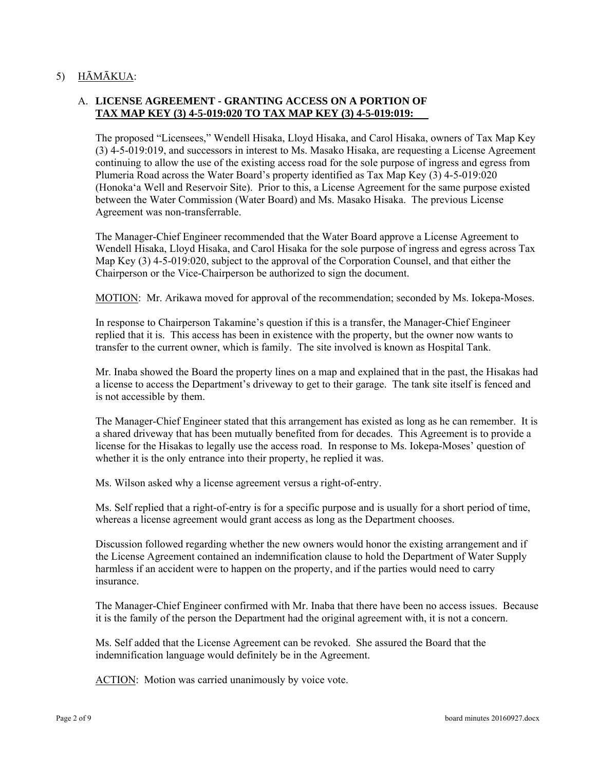# 5) HĀMĀKUA:

# A. **LICENSE AGREEMENT - GRANTING ACCESS ON A PORTION OF TAX MAP KEY (3) 4-5-019:020 TO TAX MAP KEY (3) 4-5-019:019:**

The proposed "Licensees," Wendell Hisaka, Lloyd Hisaka, and Carol Hisaka, owners of Tax Map Key (3) 4-5-019:019, and successors in interest to Ms. Masako Hisaka, are requesting a License Agreement continuing to allow the use of the existing access road for the sole purpose of ingress and egress from Plumeria Road across the Water Board's property identified as Tax Map Key (3) 4-5-019:020 (Honoka'a Well and Reservoir Site). Prior to this, a License Agreement for the same purpose existed between the Water Commission (Water Board) and Ms. Masako Hisaka. The previous License Agreement was non-transferrable.

The Manager-Chief Engineer recommended that the Water Board approve a License Agreement to Wendell Hisaka, Lloyd Hisaka, and Carol Hisaka for the sole purpose of ingress and egress across Tax Map Key (3) 4-5-019:020, subject to the approval of the Corporation Counsel, and that either the Chairperson or the Vice-Chairperson be authorized to sign the document.

MOTION: Mr. Arikawa moved for approval of the recommendation; seconded by Ms. Iokepa-Moses.

In response to Chairperson Takamine's question if this is a transfer, the Manager-Chief Engineer replied that it is. This access has been in existence with the property, but the owner now wants to transfer to the current owner, which is family. The site involved is known as Hospital Tank.

Mr. Inaba showed the Board the property lines on a map and explained that in the past, the Hisakas had a license to access the Department's driveway to get to their garage. The tank site itself is fenced and is not accessible by them.

The Manager-Chief Engineer stated that this arrangement has existed as long as he can remember. It is a shared driveway that has been mutually benefited from for decades. This Agreement is to provide a license for the Hisakas to legally use the access road. In response to Ms. Iokepa-Moses' question of whether it is the only entrance into their property, he replied it was.

Ms. Wilson asked why a license agreement versus a right-of-entry.

Ms. Self replied that a right-of-entry is for a specific purpose and is usually for a short period of time, whereas a license agreement would grant access as long as the Department chooses.

Discussion followed regarding whether the new owners would honor the existing arrangement and if the License Agreement contained an indemnification clause to hold the Department of Water Supply harmless if an accident were to happen on the property, and if the parties would need to carry insurance.

The Manager-Chief Engineer confirmed with Mr. Inaba that there have been no access issues. Because it is the family of the person the Department had the original agreement with, it is not a concern.

Ms. Self added that the License Agreement can be revoked. She assured the Board that the indemnification language would definitely be in the Agreement.

ACTION: Motion was carried unanimously by voice vote.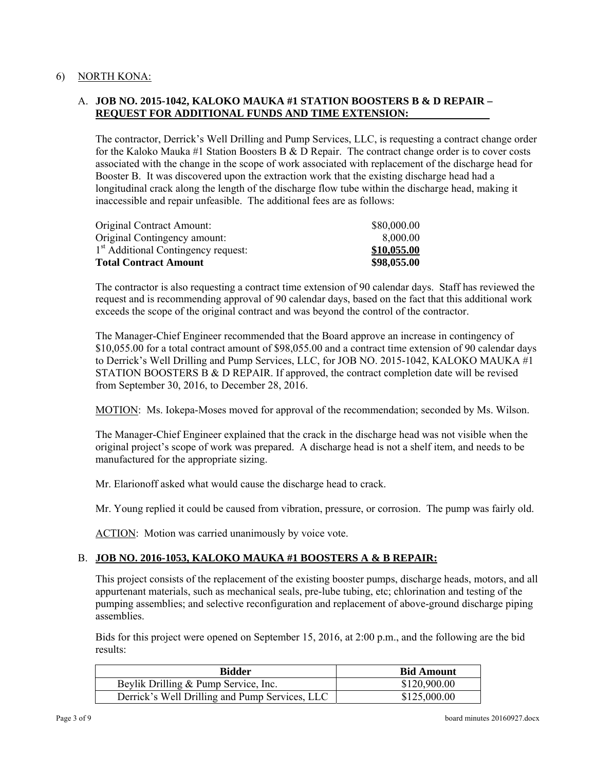### 6) NORTH KONA:

# A. **JOB NO. 2015-1042, KALOKO MAUKA #1 STATION BOOSTERS B & D REPAIR – REQUEST FOR ADDITIONAL FUNDS AND TIME EXTENSION:**

The contractor, Derrick's Well Drilling and Pump Services, LLC, is requesting a contract change order for the Kaloko Mauka #1 Station Boosters B & D Repair. The contract change order is to cover costs associated with the change in the scope of work associated with replacement of the discharge head for Booster B. It was discovered upon the extraction work that the existing discharge head had a longitudinal crack along the length of the discharge flow tube within the discharge head, making it inaccessible and repair unfeasible. The additional fees are as follows:

| Original Contract Amount:                       | \$80,000.00 |
|-------------------------------------------------|-------------|
| Original Contingency amount:                    | 8.000.00    |
| 1 <sup>st</sup> Additional Contingency request: | \$10,055.00 |
| <b>Total Contract Amount</b>                    | \$98,055.00 |

The contractor is also requesting a contract time extension of 90 calendar days. Staff has reviewed the request and is recommending approval of 90 calendar days, based on the fact that this additional work exceeds the scope of the original contract and was beyond the control of the contractor.

The Manager-Chief Engineer recommended that the Board approve an increase in contingency of \$10,055.00 for a total contract amount of \$98,055.00 and a contract time extension of 90 calendar days to Derrick's Well Drilling and Pump Services, LLC, for JOB NO. 2015-1042, KALOKO MAUKA #1 STATION BOOSTERS B & D REPAIR. If approved, the contract completion date will be revised from September 30, 2016, to December 28, 2016.

MOTION: Ms. Iokepa-Moses moved for approval of the recommendation; seconded by Ms. Wilson.

The Manager-Chief Engineer explained that the crack in the discharge head was not visible when the original project's scope of work was prepared. A discharge head is not a shelf item, and needs to be manufactured for the appropriate sizing.

Mr. Elarionoff asked what would cause the discharge head to crack.

Mr. Young replied it could be caused from vibration, pressure, or corrosion. The pump was fairly old.

ACTION: Motion was carried unanimously by voice vote.

### B. **JOB NO. 2016-1053, KALOKO MAUKA #1 BOOSTERS A & B REPAIR:**

This project consists of the replacement of the existing booster pumps, discharge heads, motors, and all appurtenant materials, such as mechanical seals, pre-lube tubing, etc; chlorination and testing of the pumping assemblies; and selective reconfiguration and replacement of above-ground discharge piping assemblies.

Bids for this project were opened on September 15, 2016, at 2:00 p.m., and the following are the bid results:

| <b>Bidder</b>                                  | <b>Bid Amount</b> |  |
|------------------------------------------------|-------------------|--|
| Beylik Drilling & Pump Service, Inc.           | \$120,900.00      |  |
| Derrick's Well Drilling and Pump Services, LLC | \$125,000.00      |  |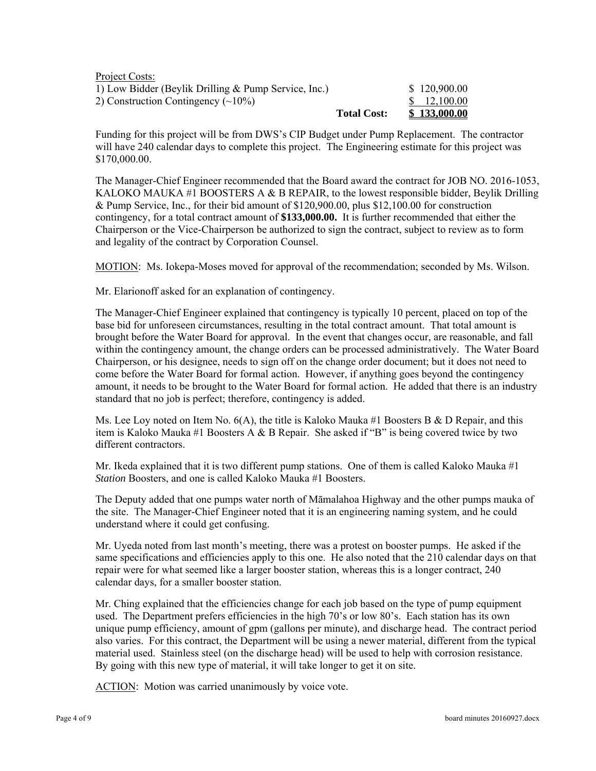| Project Costs:                                       |                    |              |
|------------------------------------------------------|--------------------|--------------|
| 1) Low Bidder (Beylik Drilling & Pump Service, Inc.) |                    | \$120,900.00 |
| 2) Construction Contingency $(\sim 10\%)$            |                    | \$ 12,100.00 |
|                                                      | <b>Total Cost:</b> | \$133,000.00 |

Funding for this project will be from DWS's CIP Budget under Pump Replacement. The contractor will have 240 calendar days to complete this project. The Engineering estimate for this project was \$170,000.00.

The Manager-Chief Engineer recommended that the Board award the contract for JOB NO. 2016-1053, KALOKO MAUKA #1 BOOSTERS A & B REPAIR, to the lowest responsible bidder, Beylik Drilling & Pump Service, Inc., for their bid amount of \$120,900.00, plus \$12,100.00 for construction contingency, for a total contract amount of **\$133,000.00.** It is further recommended that either the Chairperson or the Vice-Chairperson be authorized to sign the contract, subject to review as to form and legality of the contract by Corporation Counsel.

MOTION: Ms. Iokepa-Moses moved for approval of the recommendation; seconded by Ms. Wilson.

Mr. Elarionoff asked for an explanation of contingency.

The Manager-Chief Engineer explained that contingency is typically 10 percent, placed on top of the base bid for unforeseen circumstances, resulting in the total contract amount. That total amount is brought before the Water Board for approval. In the event that changes occur, are reasonable, and fall within the contingency amount, the change orders can be processed administratively. The Water Board Chairperson, or his designee, needs to sign off on the change order document; but it does not need to come before the Water Board for formal action. However, if anything goes beyond the contingency amount, it needs to be brought to the Water Board for formal action. He added that there is an industry standard that no job is perfect; therefore, contingency is added.

Ms. Lee Loy noted on Item No.  $6(A)$ , the title is Kaloko Mauka #1 Boosters B & D Repair, and this item is Kaloko Mauka #1 Boosters A & B Repair. She asked if "B" is being covered twice by two different contractors.

Mr. Ikeda explained that it is two different pump stations. One of them is called Kaloko Mauka #1 *Station* Boosters, and one is called Kaloko Mauka #1 Boosters.

The Deputy added that one pumps water north of Māmalahoa Highway and the other pumps mauka of the site. The Manager-Chief Engineer noted that it is an engineering naming system, and he could understand where it could get confusing.

Mr. Uyeda noted from last month's meeting, there was a protest on booster pumps. He asked if the same specifications and efficiencies apply to this one. He also noted that the 210 calendar days on that repair were for what seemed like a larger booster station, whereas this is a longer contract, 240 calendar days, for a smaller booster station.

Mr. Ching explained that the efficiencies change for each job based on the type of pump equipment used. The Department prefers efficiencies in the high 70's or low 80's. Each station has its own unique pump efficiency, amount of gpm (gallons per minute), and discharge head. The contract period also varies. For this contract, the Department will be using a newer material, different from the typical material used. Stainless steel (on the discharge head) will be used to help with corrosion resistance. By going with this new type of material, it will take longer to get it on site.

ACTION: Motion was carried unanimously by voice vote.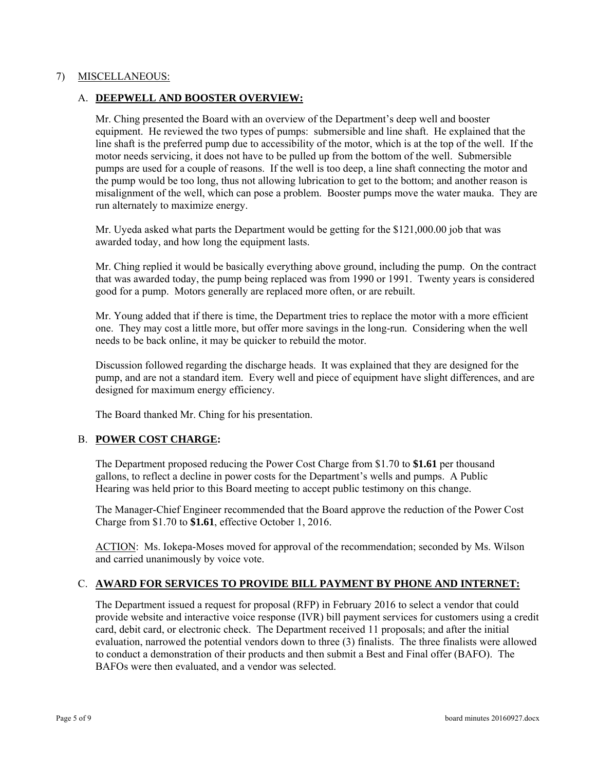#### 7) MISCELLANEOUS:

#### A. **DEEPWELL AND BOOSTER OVERVIEW:**

Mr. Ching presented the Board with an overview of the Department's deep well and booster equipment. He reviewed the two types of pumps: submersible and line shaft. He explained that the line shaft is the preferred pump due to accessibility of the motor, which is at the top of the well. If the motor needs servicing, it does not have to be pulled up from the bottom of the well. Submersible pumps are used for a couple of reasons. If the well is too deep, a line shaft connecting the motor and the pump would be too long, thus not allowing lubrication to get to the bottom; and another reason is misalignment of the well, which can pose a problem. Booster pumps move the water mauka. They are run alternately to maximize energy.

Mr. Uyeda asked what parts the Department would be getting for the \$121,000.00 job that was awarded today, and how long the equipment lasts.

Mr. Ching replied it would be basically everything above ground, including the pump. On the contract that was awarded today, the pump being replaced was from 1990 or 1991. Twenty years is considered good for a pump. Motors generally are replaced more often, or are rebuilt.

Mr. Young added that if there is time, the Department tries to replace the motor with a more efficient one. They may cost a little more, but offer more savings in the long-run. Considering when the well needs to be back online, it may be quicker to rebuild the motor.

Discussion followed regarding the discharge heads. It was explained that they are designed for the pump, and are not a standard item. Every well and piece of equipment have slight differences, and are designed for maximum energy efficiency.

The Board thanked Mr. Ching for his presentation.

### B. **POWER COST CHARGE:**

The Department proposed reducing the Power Cost Charge from \$1.70 to **\$1.61** per thousand gallons, to reflect a decline in power costs for the Department's wells and pumps. A Public Hearing was held prior to this Board meeting to accept public testimony on this change.

The Manager-Chief Engineer recommended that the Board approve the reduction of the Power Cost Charge from \$1.70 to **\$1.61**, effective October 1, 2016.

ACTION: Ms. Iokepa-Moses moved for approval of the recommendation; seconded by Ms. Wilson and carried unanimously by voice vote.

### C. **AWARD FOR SERVICES TO PROVIDE BILL PAYMENT BY PHONE AND INTERNET:**

The Department issued a request for proposal (RFP) in February 2016 to select a vendor that could provide website and interactive voice response (IVR) bill payment services for customers using a credit card, debit card, or electronic check. The Department received 11 proposals; and after the initial evaluation, narrowed the potential vendors down to three (3) finalists. The three finalists were allowed to conduct a demonstration of their products and then submit a Best and Final offer (BAFO). The BAFOs were then evaluated, and a vendor was selected.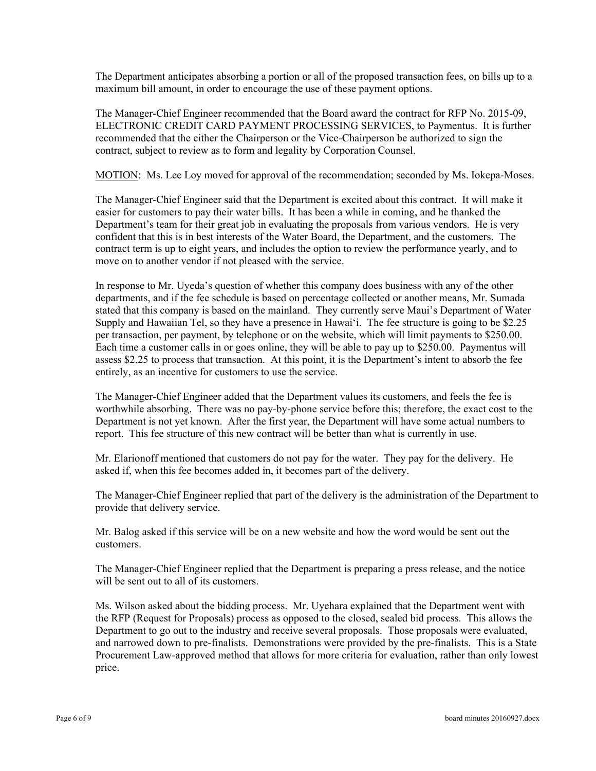The Department anticipates absorbing a portion or all of the proposed transaction fees, on bills up to a maximum bill amount, in order to encourage the use of these payment options.

The Manager-Chief Engineer recommended that the Board award the contract for RFP No. 2015-09, ELECTRONIC CREDIT CARD PAYMENT PROCESSING SERVICES, to Paymentus. It is further recommended that the either the Chairperson or the Vice-Chairperson be authorized to sign the contract, subject to review as to form and legality by Corporation Counsel.

MOTION: Ms. Lee Loy moved for approval of the recommendation; seconded by Ms. Iokepa-Moses.

The Manager-Chief Engineer said that the Department is excited about this contract. It will make it easier for customers to pay their water bills. It has been a while in coming, and he thanked the Department's team for their great job in evaluating the proposals from various vendors. He is very confident that this is in best interests of the Water Board, the Department, and the customers. The contract term is up to eight years, and includes the option to review the performance yearly, and to move on to another vendor if not pleased with the service.

In response to Mr. Uyeda's question of whether this company does business with any of the other departments, and if the fee schedule is based on percentage collected or another means, Mr. Sumada stated that this company is based on the mainland. They currently serve Maui's Department of Water Supply and Hawaiian Tel, so they have a presence in Hawai'i. The fee structure is going to be \$2.25 per transaction, per payment, by telephone or on the website, which will limit payments to \$250.00. Each time a customer calls in or goes online, they will be able to pay up to \$250.00. Paymentus will assess \$2.25 to process that transaction. At this point, it is the Department's intent to absorb the fee entirely, as an incentive for customers to use the service.

The Manager-Chief Engineer added that the Department values its customers, and feels the fee is worthwhile absorbing. There was no pay-by-phone service before this; therefore, the exact cost to the Department is not yet known. After the first year, the Department will have some actual numbers to report. This fee structure of this new contract will be better than what is currently in use.

 Mr. Elarionoff mentioned that customers do not pay for the water. They pay for the delivery. He asked if, when this fee becomes added in, it becomes part of the delivery.

The Manager-Chief Engineer replied that part of the delivery is the administration of the Department to provide that delivery service.

Mr. Balog asked if this service will be on a new website and how the word would be sent out the customers.

The Manager-Chief Engineer replied that the Department is preparing a press release, and the notice will be sent out to all of its customers.

Ms. Wilson asked about the bidding process. Mr. Uyehara explained that the Department went with the RFP (Request for Proposals) process as opposed to the closed, sealed bid process. This allows the Department to go out to the industry and receive several proposals. Those proposals were evaluated, and narrowed down to pre-finalists. Demonstrations were provided by the pre-finalists. This is a State Procurement Law-approved method that allows for more criteria for evaluation, rather than only lowest price.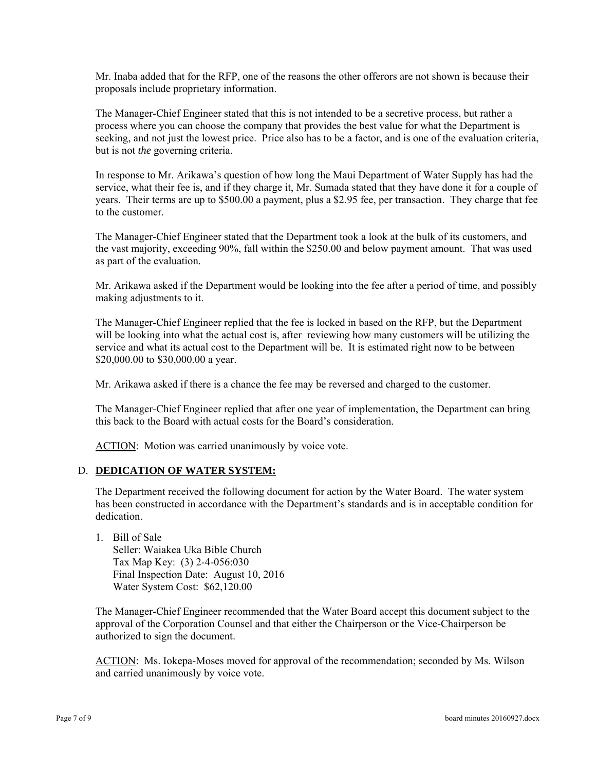Mr. Inaba added that for the RFP, one of the reasons the other offerors are not shown is because their proposals include proprietary information.

The Manager-Chief Engineer stated that this is not intended to be a secretive process, but rather a process where you can choose the company that provides the best value for what the Department is seeking, and not just the lowest price. Price also has to be a factor, and is one of the evaluation criteria, but is not *the* governing criteria.

In response to Mr. Arikawa's question of how long the Maui Department of Water Supply has had the service, what their fee is, and if they charge it, Mr. Sumada stated that they have done it for a couple of years. Their terms are up to \$500.00 a payment, plus a \$2.95 fee, per transaction. They charge that fee to the customer.

The Manager-Chief Engineer stated that the Department took a look at the bulk of its customers, and the vast majority, exceeding 90%, fall within the \$250.00 and below payment amount. That was used as part of the evaluation.

Mr. Arikawa asked if the Department would be looking into the fee after a period of time, and possibly making adjustments to it.

The Manager-Chief Engineer replied that the fee is locked in based on the RFP, but the Department will be looking into what the actual cost is, after reviewing how many customers will be utilizing the service and what its actual cost to the Department will be. It is estimated right now to be between \$20,000.00 to \$30,000.00 a year.

Mr. Arikawa asked if there is a chance the fee may be reversed and charged to the customer.

The Manager-Chief Engineer replied that after one year of implementation, the Department can bring this back to the Board with actual costs for the Board's consideration.

ACTION: Motion was carried unanimously by voice vote.

### D. **DEDICATION OF WATER SYSTEM:**

The Department received the following document for action by the Water Board. The water system has been constructed in accordance with the Department's standards and is in acceptable condition for dedication.

1. Bill of Sale Seller: Waiakea Uka Bible Church Tax Map Key: (3) 2-4-056:030 Final Inspection Date: August 10, 2016 Water System Cost: \$62,120.00

The Manager-Chief Engineer recommended that the Water Board accept this document subject to the approval of the Corporation Counsel and that either the Chairperson or the Vice-Chairperson be authorized to sign the document.

ACTION: Ms. Iokepa-Moses moved for approval of the recommendation; seconded by Ms. Wilson and carried unanimously by voice vote.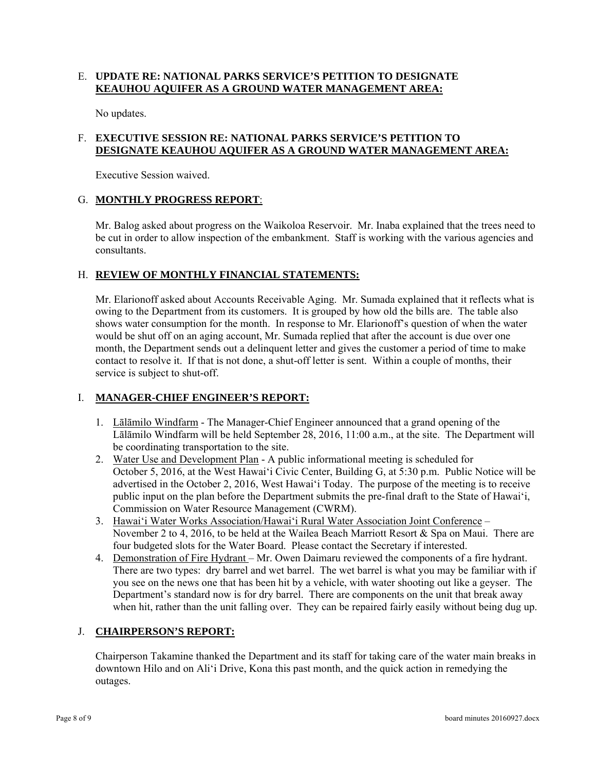# E. **UPDATE RE: NATIONAL PARKS SERVICE'S PETITION TO DESIGNATE KEAUHOU AQUIFER AS A GROUND WATER MANAGEMENT AREA:**

No updates.

# F. **EXECUTIVE SESSION RE: NATIONAL PARKS SERVICE'S PETITION TO DESIGNATE KEAUHOU AQUIFER AS A GROUND WATER MANAGEMENT AREA:**

Executive Session waived.

# G. **MONTHLY PROGRESS REPORT**:

Mr. Balog asked about progress on the Waikoloa Reservoir. Mr. Inaba explained that the trees need to be cut in order to allow inspection of the embankment. Staff is working with the various agencies and consultants.

# H. REVIEW OF MONTHLY FINANCIAL STATEMENTS:

Mr. Elarionoff asked about Accounts Receivable Aging. Mr. Sumada explained that it reflects what is owing to the Department from its customers. It is grouped by how old the bills are. The table also shows water consumption for the month. In response to Mr. Elarionoff's question of when the water would be shut off on an aging account, Mr. Sumada replied that after the account is due over one month, the Department sends out a delinquent letter and gives the customer a period of time to make contact to resolve it. If that is not done, a shut-off letter is sent. Within a couple of months, their service is subject to shut-off.

### I. **MANAGER-CHIEF ENGINEER'S REPORT:**

- 1. Lalamilo Windfarm The Manager-Chief Engineer announced that a grand opening of the Lālāmilo Windfarm will be held September 28, 2016, 11:00 a.m., at the site. The Department will be coordinating transportation to the site.
- 2. Water Use and Development Plan A public informational meeting is scheduled for October 5, 2016, at the West Hawai'i Civic Center, Building G, at 5:30 p.m. Public Notice will be advertised in the October 2, 2016, West Hawai'i Today. The purpose of the meeting is to receive public input on the plan before the Department submits the pre-final draft to the State of Hawai'i, Commission on Water Resource Management (CWRM).
- 3. Hawai'i Water Works Association/Hawai'i Rural Water Association Joint Conference November 2 to 4, 2016, to be held at the Wailea Beach Marriott Resort & Spa on Maui. There are four budgeted slots for the Water Board. Please contact the Secretary if interested.
- 4. Demonstration of Fire Hydrant Mr. Owen Daimaru reviewed the components of a fire hydrant. There are two types: dry barrel and wet barrel. The wet barrel is what you may be familiar with if you see on the news one that has been hit by a vehicle, with water shooting out like a geyser. The Department's standard now is for dry barrel. There are components on the unit that break away when hit, rather than the unit falling over. They can be repaired fairly easily without being dug up.

# J. **CHAIRPERSON'S REPORT:**

Chairperson Takamine thanked the Department and its staff for taking care of the water main breaks in downtown Hilo and on Ali'i Drive, Kona this past month, and the quick action in remedying the outages.